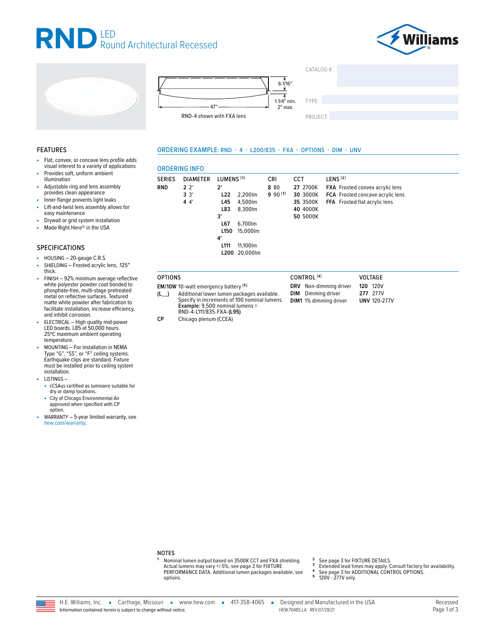







| TYPE: |  |
|-------|--|

CATALOG #:

PROJECT:

#### ORDERING EXAMPLE: RND - 4 - L200/835 - FXA - OPTIONS - DIM - UNV

# **FEATURES**

- Flat, convex, or concave lens profile adds visual interest to a variety of applications
- Provides soft, uniform ambient illumination
- Adjustable ring and lens assembly provides clean appearance
- Inner flange prevents light leaks ä,
- Lift-and-twist lens assembly allows for ä, easy maintenance
- Drywall or grid system installation
- Made Right Here<sup>®</sup> in the USA ×.

### **SPECIFICATIONS**

- HOUSING 20-gauge C.R.S.
- SHIELDING Frosted acrylic lens, .125" à, thick.
- FINISH 92% minimum average reflective white polyester powder coat bonded to phosphate-free, multi-stage pretreated metal on reflective surfaces. Textured matte white powder after fabrication to facilitate installation, increase efficiency, and inhibit corrosion.
- ELECTRICAL High quality mid-power LED boards. L85 at 50,000 hours. 25°C maximum ambient operating temperature.
- MOUNTING For installation in NEMA<br>Type "G", "SS", or "F" ceiling systems.<br>Earthquake clips are standard. Fixture must be installed prior to ceiling system installation.
- $-LISTINGS$ 
	- cCSAus certified as luminaire suitable for<br>dry or damp locations.
	- City of Chicago Environmental Air<br>approved when specified with CP option.
- WARRANTY 5-year limited warranty, see hew.com/warranty.

| <b>SERIES</b> | <b>DIAMETER</b>            | LUMENS <sup>[1]</sup>                                                                        |                                                                                   | <b>CRI</b>          | <b>CCT</b>                                               | LENS <sup>[2]</sup>                                                                                                |
|---------------|----------------------------|----------------------------------------------------------------------------------------------|-----------------------------------------------------------------------------------|---------------------|----------------------------------------------------------|--------------------------------------------------------------------------------------------------------------------|
| <b>RND</b>    | $2^{2}$<br>$3^{3'}$<br>44' | $2^{\prime}$<br>L22<br>L45<br>L83<br>3'<br>L67<br>L <sub>150</sub><br>4'<br>L <sub>111</sub> | 2.200lm<br>4,500lm<br>8.300lm<br>6,700lm<br>15.000lm<br>11,100lm<br>L200 20.000lm | 8 80<br>$990^{[3]}$ | 27 2700K<br>30 3000K<br>35 3500K<br>40 4000K<br>50 5000K | <b>FXA</b> Frosted convex acrylic lens<br><b>FCA</b> Frosted concave acrylic lens<br>FFA Frosted flat acrylic lens |

CONTROL<sup>[4]</sup>

DRV Non-dimming driver

**DIM** Dimming driver

DIM1 1% dimming driver

VOLTAGE

**120 120V** 

277 277V

**UNV 120-277V** 

#### **OPTIONS**

EM/10W 10-watt emergency battery<sup>[5]</sup>

- Additional lower lumen packages available.  $(L)$ Specify in increments of 100 nominal lumens. Example: 9,500 nominal lumens = RND-4-L111/835-FXA-(L95)  $CP$ 
	- Chicago plenum (CCEA)

- $\overline{2}$ See page 3 for FIXTURE DETAILS.
- $\overline{\mathbf{3}}$ Extended lead times may apply. Consult factory for availability.
- See page 3 for ADDITIONAL CONTROL OPTIONS.<br>120V 277V only.
- 5



Nominal lumen output based on 3500K CCT and FXA shielding.

PERFORMANCE DATA. Additional lumen packages available, see

Actual lumens may vary +/-5%, see page 2 for FIXTURE

**NOTES** 

options.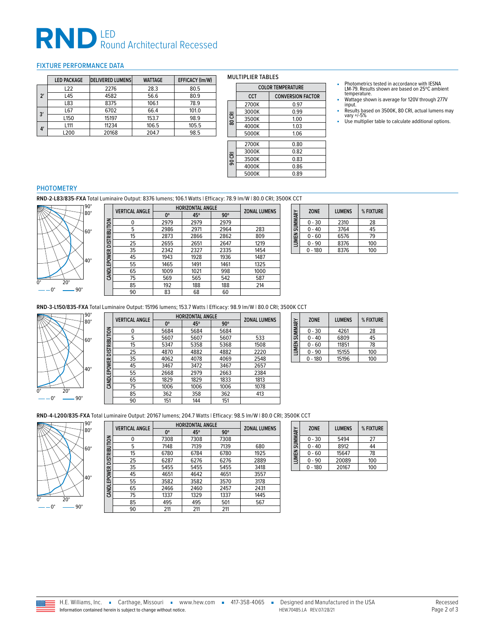# RND LED<br>Round Architectural Recessed

## <span id="page-1-0"></span>FIXTURE PERFORMANCE DATA

|              |    | <b>LED PACKAGE</b> | <b>DELIVERED LUMENS</b> | <b>WATTAGE</b> | EFFICACY (Im/W) |
|--------------|----|--------------------|-------------------------|----------------|-----------------|
|              |    | L <sub>22</sub>    | 2276                    | 28.3           | 80.5            |
| $2^{\prime}$ |    | 4582<br>L45        |                         | 56.6           | 80.9            |
|              |    | L83                | 8375                    | 106.1          | 78.9            |
| 3'           |    | L67                | 6702                    | 66.4           | 101.0           |
|              |    | L <sub>150</sub>   | 15197                   | 153.7          | 98.9            |
|              |    | L <sub>111</sub>   | 11234                   | 106.5          | 105.5           |
|              | 4' | L200               | 20168                   | 204.7          | 98.5            |

### MULTIPLIER TABLES

|        | <b>COLOR TEMPERATURE</b> |                          |  |
|--------|--------------------------|--------------------------|--|
|        | <b>CCT</b>               | <b>CONVERSION FACTOR</b> |  |
|        | 2700K                    | 0.97                     |  |
|        | 3000K                    | 0.99                     |  |
| 80 CRI | 3500K                    | 1.00                     |  |
|        | 4000K                    | 1.03                     |  |
|        | 5000K                    | 1.06                     |  |
|        | 2700K                    | 0.80                     |  |
|        | 3000K                    | 0.82                     |  |
| 90 CRI | 3500K                    | 0.83                     |  |
|        | 4000K                    | 0.86                     |  |
|        | 5000K                    | 0.89                     |  |

- Photometrics tested in accordance with IESNA LM-79. Results shown are based on 25ºC ambient temperature.
- Wattage shown is average for 120V through 277V input.
- Results based on 3500K, 80 CRI, actual lumens may vary +/-5%
- Use multiplier table to calculate additional options.

## **PHOTOMETRY**

**RND-2-L83/835-FXA** Total Luminaire Output: 8376 lumens; 106.1 Watts | Efficacy: 78.9 lm/W | 80.0 CRI; 3500K CCT



|                     | <b>VERTICAL ANGLE</b> | <b>HORIZONTAL ANGLE</b> | <b>ZONAL LUMENS</b> |            |      |
|---------------------|-----------------------|-------------------------|---------------------|------------|------|
|                     |                       | $0^{\circ}$             | 45°                 | $90^\circ$ |      |
|                     | 0                     | 2979                    | 2979                | 2979       |      |
|                     | 5                     | 2986                    | 2971                | 2964       | 283  |
| <b>DISTRIBUTION</b> | 15                    | 2873                    | 2866                | 2862       | 809  |
|                     | 25                    | 2655                    | 2651                | 2647       | 1219 |
|                     | 35                    | 2342                    | 2327                | 2335       | 1454 |
|                     | 45                    | 1943                    | 1928                | 1936       | 1487 |
| CANDLEPOWER         | 55                    | 1465                    | 1491                | 1461       | 1325 |
|                     | 65                    | 1009                    | 1021                | 998        | 1000 |
|                     | 75                    | 569                     | 565                 | 542        | 587  |
|                     | 85                    | 192                     | 188                 | 188        | 214  |
|                     | 90                    | 83                      | 68                  | 60         |      |

| LUMEN SUMMARY | <b>ZONE</b> | <b>LUMENS</b> | % FIXTURE |
|---------------|-------------|---------------|-----------|
|               | $0 - 30$    | 2310          | 28        |
|               | $0 - 40$    | 3764          | 45        |
|               | $0 - 60$    | 6576          | 79        |
|               | $0 - 90$    | 8376          | 100       |
|               | $0 - 180$   | 8376          | 100       |

**RND-3-L150/835-FXA** Total Luminaire Output: 15196 lumens; 153.7 Watts | Efficacy: 98.9 lm/W | 80.0 CRI; 3500K CCT



|                           | <b>VERTICAL ANGLE</b> | <b>HORIZONTAL ANGLE</b> | <b>ZONAL LUMENS</b> |            |      |
|---------------------------|-----------------------|-------------------------|---------------------|------------|------|
|                           |                       | $0^{\circ}$             | 45°                 | $90^\circ$ |      |
|                           | 0                     | 5684                    | 5684                | 5684       |      |
|                           | 5                     | 5607                    | 5607                | 5607       | 533  |
| CAND LEPOWER DISTRIBUTION | 15                    | 5347                    | 5358                | 5368       | 1508 |
|                           | 25                    | 4870                    | 4882                | 4882       | 2220 |
|                           | 35                    | 4062                    | 4078                | 4069       | 2548 |
|                           | 45                    | 3467                    | 3472                | 3467       | 2657 |
|                           | 55                    | 2668                    | 2979                | 2663       | 2384 |
|                           | 65                    | 1829                    | 1829                | 1833       | 1813 |
|                           | 75                    | 1006                    | 1006                | 1006       | 1078 |
|                           | 85                    | 362                     | 358                 | 362        | 413  |
|                           | 90                    | 151                     | 144                 | 151        |      |

| LUMEN SUMMARY | <b>ZONE</b> | <b>LUMENS</b> | % FIXTURE |
|---------------|-------------|---------------|-----------|
|               | $0 - 30$    | 4261          | 28        |
|               | $0 - 40$    | 6809          | 45        |
|               | $0 - 60$    | 11851         | 78        |
|               | $0 - 90$    | 15155         | 100       |
|               | - 180       | 15196         | 100       |

**RND-4-L200/835-FXA** Total Luminaire Output: 20167 lumens; 204.7 Watts | Efficacy: 98.5 lm/W | 80.0 CRI; 3500K CCT



|              | <b>VERTICAL ANGLE</b> | <b>HORIZONTAL ANGLE</b> | <b>ZONAL LUMENS</b> |            |      |
|--------------|-----------------------|-------------------------|---------------------|------------|------|
|              |                       | $0^{\circ}$             | 45°                 | $90^\circ$ |      |
|              | 0                     | 7308                    | 7308                | 7308       |      |
|              | 5                     | 7148                    | 7139                | 7139       | 680  |
| DISTRIBUTION | 15                    | 6780                    | 6784                | 6780       | 1925 |
|              | 25                    | 6287                    | 6276                | 6276       | 2889 |
|              | 35                    | 5455                    | 5455                | 5455       | 3418 |
|              | 45                    | 4651                    | 4642                | 4651       | 3557 |
| CANDLEPOWER  | 55                    | 3582                    | 3582                | 3570       | 3178 |
|              | 65                    | 2466                    | 2460                | 2457       | 2431 |
|              | 75                    | 1337                    | 1329                | 1337       | 1445 |
|              | 85                    | 495                     | 495                 | 501        | 567  |
|              | 90                    | 211                     | 211                 | 211        |      |

| LUMEN SUMMARY | <b>ZONE</b> | <b>LUMENS</b> | % FIXTURE |
|---------------|-------------|---------------|-----------|
|               | $0 - 30$    | 5494          | 27        |
|               | $0 - 40$    | 8912          | 44        |
|               | $0 - 60$    | 15647         | 78        |
|               | $0 - 90$    | 20089         | 100       |
|               | $0 - 180$   | 20167         | 100       |